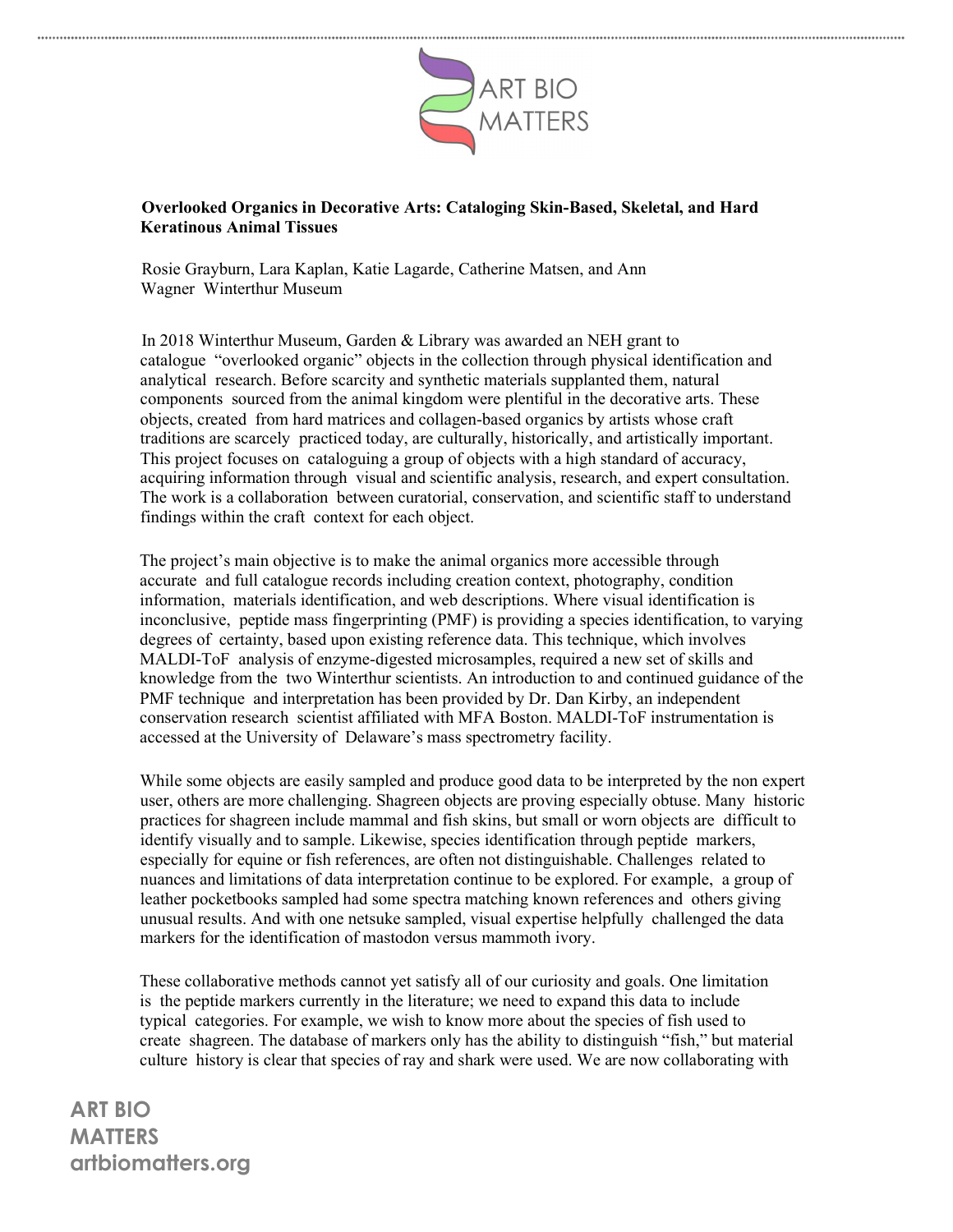

## Overlooked Organics in Decorative Arts: Cataloging Skin-Based, Skeletal, and Hard Keratinous Animal Tissues

Rosie Grayburn, Lara Kaplan, Katie Lagarde, Catherine Matsen, and Ann Wagner Winterthur Museum

In 2018 Winterthur Museum, Garden & Library was awarded an NEH grant to catalogue "overlooked organic" objects in the collection through physical identification and analytical research. Before scarcity and synthetic materials supplanted them, natural components sourced from the animal kingdom were plentiful in the decorative arts. These objects, created from hard matrices and collagen-based organics by artists whose craft traditions are scarcely practiced today, are culturally, historically, and artistically important. This project focuses on cataloguing a group of objects with a high standard of accuracy, acquiring information through visual and scientific analysis, research, and expert consultation. The work is a collaboration between curatorial, conservation, and scientific staff to understand findings within the craft context for each object.

The project's main objective is to make the animal organics more accessible through accurate and full catalogue records including creation context, photography, condition information, materials identification, and web descriptions. Where visual identification is inconclusive, peptide mass fingerprinting (PMF) is providing a species identification, to varying degrees of certainty, based upon existing reference data. This technique, which involves MALDI-ToF analysis of enzyme-digested microsamples, required a new set of skills and knowledge from the two Winterthur scientists. An introduction to and continued guidance of the PMF technique and interpretation has been provided by Dr. Dan Kirby, an independent conservation research scientist affiliated with MFA Boston. MALDI-ToF instrumentation is accessed at the University of Delaware's mass spectrometry facility.

While some objects are easily sampled and produce good data to be interpreted by the non expert user, others are more challenging. Shagreen objects are proving especially obtuse. Many historic practices for shagreen include mammal and fish skins, but small or worn objects are difficult to identify visually and to sample. Likewise, species identification through peptide markers, especially for equine or fish references, are often not distinguishable. Challenges related to nuances and limitations of data interpretation continue to be explored. For example, a group of leather pocketbooks sampled had some spectra matching known references and others giving unusual results. And with one netsuke sampled, visual expertise helpfully challenged the data markers for the identification of mastodon versus mammoth ivory.

These collaborative methods cannot yet satisfy all of our curiosity and goals. One limitation is the peptide markers currently in the literature; we need to expand this data to include typical categories. For example, we wish to know more about the species of fish used to create shagreen. The database of markers only has the ability to distinguish "fish," but material culture history is clear that species of ray and shark were used. We are now collaborating with

ART BIO **MATTERS** artbiomatters.org